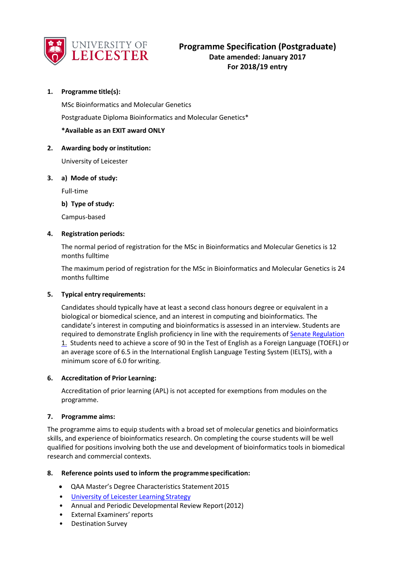

# **1. Programme title(s):**

MSc Bioinformatics and Molecular Genetics

Postgraduate Diploma Bioinformatics and Molecular Genetics\*

## **\*Available as an EXIT award ONLY**

### **2. Awarding body orinstitution:**

University of Leicester

### **3. a) Mode of study:**

Full-time

## **b) Type of study:**

Campus-based

### **4. Registration periods:**

The normal period of registration for the MSc in Bioinformatics and Molecular Genetics is 12 months fulltime

The maximum period of registration for the MSc in Bioinformatics and Molecular Genetics is 24 months fulltime

### **5. Typical entry requirements:**

Candidates should typically have at least a second class honours degree or equivalent in a biological or biomedical science, and an interest in computing and bioinformatics. The candidate's interest in computing and bioinformatics is assessed in an interview. Students are required to demonstrate English proficiency in line with the requirements o[f Senate Regulation](http://www2.le.ac.uk/offices/sas2/regulations/documents/senatereg1-entry.pdf) 1. Students need to achieve a score of 90 in the Test of English as a Foreign Language (TOEFL) or an average score of 6.5 in the International English Language Testing System (IELTS), with a minimum score of 6.0 for writing.

### **6. Accreditation of Prior Learning:**

Accreditation of prior learning (APL) is not accepted for exemptions from modules on the programme.

### **7. Programme aims:**

The programme aims to equip students with a broad set of molecular genetics and bioinformatics skills, and experience of bioinformatics research. On completing the course students will be well qualified for positions involving both the use and development of bioinformatics tools in biomedical research and commercial contexts.

### **8. Reference points used to inform the programmespecification:**

- QAA Master's Degree Characteristics Statement 2015
- [University of Leicester Learning](http://www2.le.ac.uk/offices/sas2/quality/learnteach) Strategy
- Annual and Periodic Developmental Review Report(2012)
- External Examiners'reports
- Destination Survey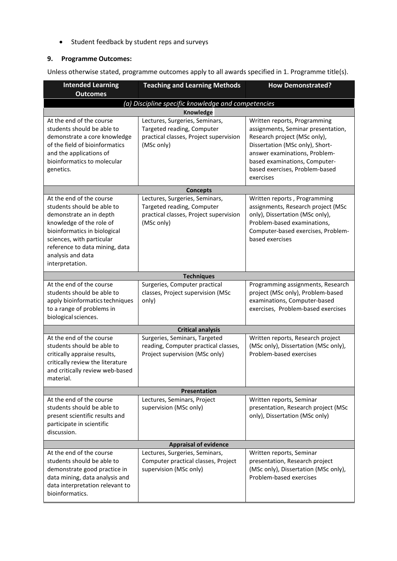• Student feedback by student reps and surveys

# **9. Programme Outcomes:**

Unless otherwise stated, programme outcomes apply to all awards specified in 1. Programme title(s).

| <b>Intended Learning</b><br><b>Outcomes</b>                                                                                                                                                                                                          | <b>Teaching and Learning Methods</b>                                                                                 | <b>How Demonstrated?</b>                                                                                                                                                                                                                               |  |  |
|------------------------------------------------------------------------------------------------------------------------------------------------------------------------------------------------------------------------------------------------------|----------------------------------------------------------------------------------------------------------------------|--------------------------------------------------------------------------------------------------------------------------------------------------------------------------------------------------------------------------------------------------------|--|--|
| (a) Discipline specific knowledge and competencies                                                                                                                                                                                                   |                                                                                                                      |                                                                                                                                                                                                                                                        |  |  |
|                                                                                                                                                                                                                                                      | Knowledge                                                                                                            |                                                                                                                                                                                                                                                        |  |  |
| At the end of the course<br>students should be able to<br>demonstrate a core knowledge<br>of the field of bioinformatics<br>and the applications of<br>bioinformatics to molecular<br>genetics.                                                      | Lectures, Surgeries, Seminars,<br>Targeted reading, Computer<br>practical classes, Project supervision<br>(MSc only) | Written reports, Programming<br>assignments, Seminar presentation,<br>Research project (MSc only),<br>Dissertation (MSc only), Short-<br>answer examinations, Problem-<br>based examinations, Computer-<br>based exercises, Problem-based<br>exercises |  |  |
|                                                                                                                                                                                                                                                      | <b>Concepts</b>                                                                                                      |                                                                                                                                                                                                                                                        |  |  |
| At the end of the course<br>students should be able to<br>demonstrate an in depth<br>knowledge of the role of<br>bioinformatics in biological<br>sciences, with particular<br>reference to data mining, data<br>analysis and data<br>interpretation. | Lectures, Surgeries, Seminars,<br>Targeted reading, Computer<br>practical classes, Project supervision<br>(MSc only) | Written reports, Programming<br>assignments, Research project (MSc<br>only), Dissertation (MSc only),<br>Problem-based examinations,<br>Computer-based exercises, Problem-<br>based exercises                                                          |  |  |
|                                                                                                                                                                                                                                                      | <b>Techniques</b>                                                                                                    |                                                                                                                                                                                                                                                        |  |  |
| At the end of the course<br>students should be able to<br>apply bioinformatics techniques<br>to a range of problems in<br>biological sciences.                                                                                                       | Surgeries, Computer practical<br>classes, Project supervision (MSc<br>only)                                          | Programming assignments, Research<br>project (MSc only), Problem-based<br>examinations, Computer-based<br>exercises, Problem-based exercises                                                                                                           |  |  |
|                                                                                                                                                                                                                                                      | <b>Critical analysis</b>                                                                                             |                                                                                                                                                                                                                                                        |  |  |
| At the end of the course<br>students should be able to<br>critically appraise results,<br>critically review the literature<br>and critically review web-based<br>material.                                                                           | Surgeries, Seminars, Targeted<br>reading, Computer practical classes,<br>Project supervision (MSc only)              | Written reports, Research project<br>(MSc only), Dissertation (MSc only),<br>Problem-based exercises                                                                                                                                                   |  |  |
| Presentation                                                                                                                                                                                                                                         |                                                                                                                      |                                                                                                                                                                                                                                                        |  |  |
| At the end of the course<br>students should be able to<br>present scientific results and<br>participate in scientific<br>discussion.                                                                                                                 | Lectures, Seminars, Project<br>supervision (MSc only)                                                                | Written reports, Seminar<br>presentation, Research project (MSc<br>only), Dissertation (MSc only)                                                                                                                                                      |  |  |
| <b>Appraisal of evidence</b>                                                                                                                                                                                                                         |                                                                                                                      |                                                                                                                                                                                                                                                        |  |  |
| At the end of the course<br>students should be able to<br>demonstrate good practice in<br>data mining, data analysis and<br>data interpretation relevant to<br>bioinformatics.                                                                       | Lectures, Surgeries, Seminars,<br>Computer practical classes, Project<br>supervision (MSc only)                      | Written reports, Seminar<br>presentation, Research project<br>(MSc only), Dissertation (MSc only),<br>Problem-based exercises                                                                                                                          |  |  |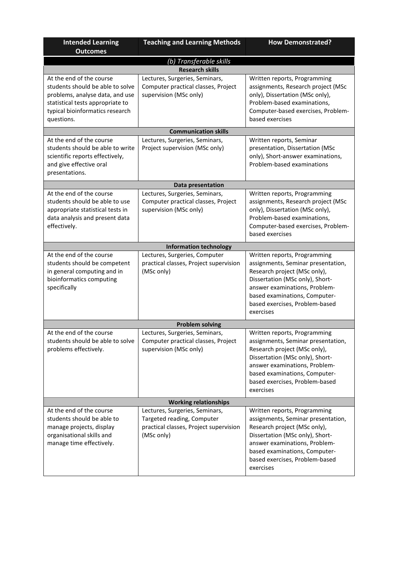| <b>Intended Learning</b><br><b>Outcomes</b>                                                                                                                                          | <b>Teaching and Learning Methods</b>                                                                                 | <b>How Demonstrated?</b>                                                                                                                                                                                                                               |
|--------------------------------------------------------------------------------------------------------------------------------------------------------------------------------------|----------------------------------------------------------------------------------------------------------------------|--------------------------------------------------------------------------------------------------------------------------------------------------------------------------------------------------------------------------------------------------------|
|                                                                                                                                                                                      | (b) Transferable skills                                                                                              |                                                                                                                                                                                                                                                        |
|                                                                                                                                                                                      | <b>Research skills</b>                                                                                               |                                                                                                                                                                                                                                                        |
| At the end of the course<br>students should be able to solve<br>problems, analyse data, and use<br>statistical tests appropriate to<br>typical bioinformatics research<br>questions. | Lectures, Surgeries, Seminars,<br>Computer practical classes, Project<br>supervision (MSc only)                      | Written reports, Programming<br>assignments, Research project (MSc<br>only), Dissertation (MSc only),<br>Problem-based examinations,<br>Computer-based exercises, Problem-<br>based exercises                                                          |
|                                                                                                                                                                                      | <b>Communication skills</b>                                                                                          |                                                                                                                                                                                                                                                        |
| At the end of the course<br>students should be able to write<br>scientific reports effectively,<br>and give effective oral<br>presentations.                                         | Lectures, Surgeries, Seminars,<br>Project supervision (MSc only)                                                     | Written reports, Seminar<br>presentation, Dissertation (MSc<br>only), Short-answer examinations,<br>Problem-based examinations                                                                                                                         |
|                                                                                                                                                                                      | Data presentation                                                                                                    |                                                                                                                                                                                                                                                        |
| At the end of the course<br>students should be able to use<br>appropriate statistical tests in<br>data analysis and present data<br>effectively.                                     | Lectures, Surgeries, Seminars,<br>Computer practical classes, Project<br>supervision (MSc only)                      | Written reports, Programming<br>assignments, Research project (MSc<br>only), Dissertation (MSc only),<br>Problem-based examinations,<br>Computer-based exercises, Problem-<br>based exercises                                                          |
|                                                                                                                                                                                      | <b>Information technology</b>                                                                                        |                                                                                                                                                                                                                                                        |
| At the end of the course<br>students should be competent<br>in general computing and in<br>bioinformatics computing<br>specifically                                                  | Lectures, Surgeries, Computer<br>practical classes, Project supervision<br>(MSc only)                                | Written reports, Programming<br>assignments, Seminar presentation,<br>Research project (MSc only),<br>Dissertation (MSc only), Short-<br>answer examinations, Problem-<br>based examinations, Computer-<br>based exercises, Problem-based<br>exercises |
|                                                                                                                                                                                      | <b>Problem solving</b>                                                                                               |                                                                                                                                                                                                                                                        |
| At the end of the course<br>students should be able to solve<br>problems effectively.                                                                                                | Lectures, Surgeries, Seminars,<br>Computer practical classes, Project<br>supervision (MSc only)                      | Written reports, Programming<br>assignments, Seminar presentation,<br>Research project (MSc only),<br>Dissertation (MSc only), Short-<br>answer examinations, Problem-<br>based examinations, Computer-<br>based exercises, Problem-based<br>exercises |
|                                                                                                                                                                                      | <b>Working relationships</b>                                                                                         |                                                                                                                                                                                                                                                        |
| At the end of the course<br>students should be able to<br>manage projects, display<br>organisational skills and<br>manage time effectively.                                          | Lectures, Surgeries, Seminars,<br>Targeted reading, Computer<br>practical classes, Project supervision<br>(MSc only) | Written reports, Programming<br>assignments, Seminar presentation,<br>Research project (MSc only),<br>Dissertation (MSc only), Short-<br>answer examinations, Problem-<br>based examinations, Computer-<br>based exercises, Problem-based<br>exercises |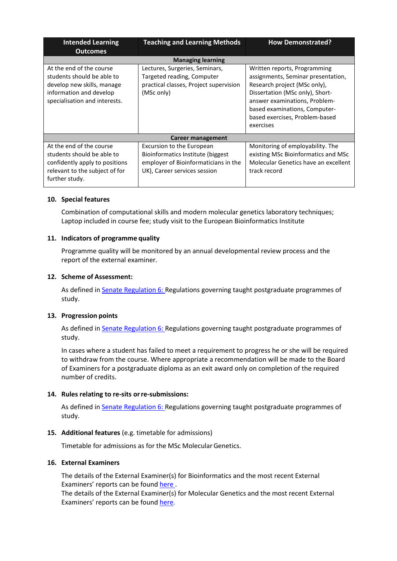| <b>Intended Learning</b><br><b>Outcomes</b>                                                                                                      | <b>Teaching and Learning Methods</b>                                                                                                   | <b>How Demonstrated?</b>                                                                                                                                                                                                                               |  |  |
|--------------------------------------------------------------------------------------------------------------------------------------------------|----------------------------------------------------------------------------------------------------------------------------------------|--------------------------------------------------------------------------------------------------------------------------------------------------------------------------------------------------------------------------------------------------------|--|--|
| <b>Managing learning</b>                                                                                                                         |                                                                                                                                        |                                                                                                                                                                                                                                                        |  |  |
| At the end of the course<br>students should be able to<br>develop new skills, manage<br>information and develop<br>specialisation and interests. | Lectures, Surgeries, Seminars,<br>Targeted reading, Computer<br>practical classes, Project supervision<br>(MSc only)                   | Written reports, Programming<br>assignments, Seminar presentation,<br>Research project (MSc only),<br>Dissertation (MSc only), Short-<br>answer examinations, Problem-<br>based examinations, Computer-<br>based exercises, Problem-based<br>exercises |  |  |
| Career management                                                                                                                                |                                                                                                                                        |                                                                                                                                                                                                                                                        |  |  |
| At the end of the course<br>students should be able to<br>confidently apply to positions<br>relevant to the subject of for<br>further study.     | Excursion to the European<br>Bioinformatics Institute (biggest<br>employer of Bioinformaticians in the<br>UK), Career services session | Monitoring of employability. The<br>existing MSc Bioinformatics and MSc<br>Molecular Genetics have an excellent<br>track record                                                                                                                        |  |  |

## **10. Special features**

Combination of computational skills and modern molecular genetics laboratory techniques; Laptop included in course fee; study visit to the European Bioinformatics Institute

## **11. Indicators of programme quality**

Programme quality will be monitored by an annual developmental review process and the report of the external examiner.

### **12. Scheme of Assessment:**

As defined i[n Senate Regulation 6: R](http://www.le.ac.uk/senate-regulation6)egulations governing taught postgraduate programmes of study.

### **13. Progression points**

As defined i[n Senate Regulation 6: R](http://www.le.ac.uk/senate-regulation6)egulations governing taught postgraduate programmes of study.

In cases where a student has failed to meet a requirement to progress he or she will be required to withdraw from the course. Where appropriate a recommendation will be made to the Board of Examiners for a postgraduate diploma as an exit award only on completion of the required number of credits.

### **14. Rules relating to re-sits orre-submissions:**

As defined i[n Senate Regulation 6: R](http://www.le.ac.uk/senate-regulation6)egulations governing taught postgraduate programmes of study.

### **15. Additional features** (e.g. timetable for admissions)

Timetable for admissions as for the MSc MolecularGenetics.

## **16. External Examiners**

The details of the External Examiner(s) for Bioinformatics and the most recent External Examiners' reports can be found here.

The details of the External Examiner(s) for Molecular Genetics and the most recent External Examiners' reports can be foun[d here.](https://exampapers.le.ac.uk/xmlui/handle/123456789/187)